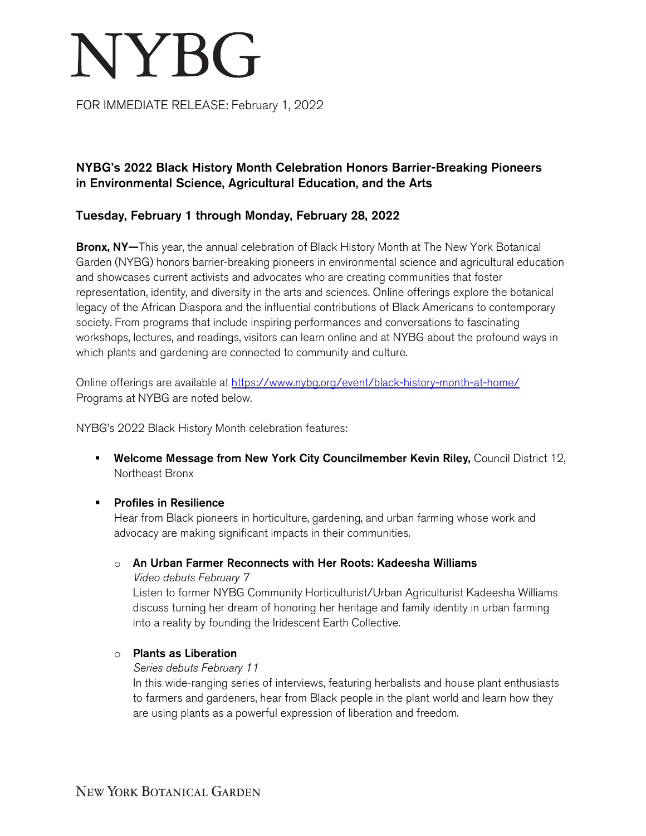# **NYBG**

FOR IMMEDIATE RELEASE: February 1, 2022

# NYBG's 2022 Black History Month Celebration Honors Barrier-Breaking Pioneers in Environmental Science, Agricultural Education, and the Arts

# Tuesday, February 1 through Monday, February 28, 2022

Bronx, NY-This year, the annual celebration of Black History Month at The New York Botanical Garden (NYBG) honors barrier-breaking pioneers in environmental science and agricultural education and showcases current activists and advocates who are creating communities that foster representation, identity, and diversity in the arts and sciences. Online offerings explore the botanical legacy of the African Diaspora and the influential contributions of Black Americans to contemporary society. From programs that include inspiring performances and conversations to fascinating workshops, lectures, and readings, visitors can learn online and at NYBG about the profound ways in which plants and gardening are connected to community and culture.

Online offerings are available at <https://www.nybg.org/event/black-history-month-at-home/> Programs at NYBG are noted below.

NYBG's 2022 Black History Month celebration features:

- **Welcome Message from New York City Councilmember Kevin Riley, Council District 12,** Northeast Bronx
- **Profiles in Resilience**

Hear from Black pioneers in horticulture, gardening, and urban farming whose work and advocacy are making significant impacts in their communities.

o An Urban Farmer Reconnects with Her Roots: Kadeesha Williams

*Video debuts February 7*

Listen to former NYBG Community Horticulturist/Urban Agriculturist Kadeesha Williams discuss turning her dream of honoring her heritage and family identity in urban farming into a reality by founding the Iridescent Earth Collective.

o Plants as Liberation

## *Series debuts February 11*

In this wide-ranging series of interviews, featuring herbalists and house plant enthusiasts to farmers and gardeners, hear from Black people in the plant world and learn how they are using plants as a powerful expression of liberation and freedom.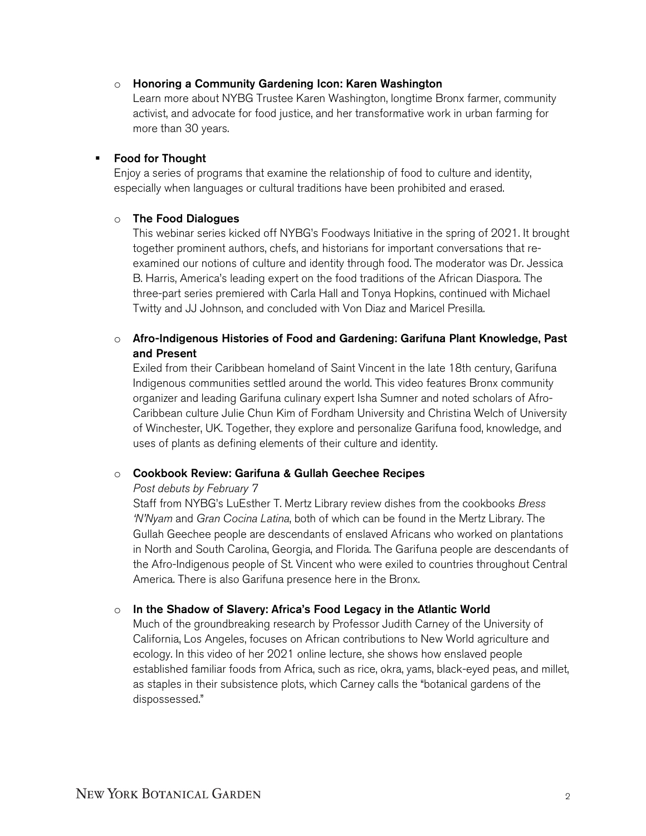#### o Honoring a Community Gardening Icon: Karen Washington

Learn more about NYBG Trustee Karen Washington, longtime Bronx farmer, community activist, and advocate for food justice, and her transformative work in urban farming for more than 30 years.

## **Food for Thought**

Enjoy a series of programs that examine the relationship of food to culture and identity, especially when languages or cultural traditions have been prohibited and erased.

#### o The Food Dialogues

This webinar series kicked off NYBG's Foodways Initiative in the spring of 2021. It brought together prominent authors, chefs, and historians for important conversations that reexamined our notions of culture and identity through food. The moderator was Dr. Jessica B. Harris, America's leading expert on the food traditions of the African Diaspora. The three-part series premiered with Carla Hall and Tonya Hopkins, continued with Michael Twitty and JJ Johnson, and concluded with Von Diaz and Maricel Presilla.

## $\circ$  Afro-Indigenous Histories of Food and Gardening: Garifuna Plant Knowledge, Past and Present

Exiled from their Caribbean homeland of Saint Vincent in the late 18th century, Garifuna Indigenous communities settled around the world. This video features Bronx community organizer and leading Garifuna culinary expert Isha Sumner and noted scholars of Afro-Caribbean culture Julie Chun Kim of Fordham University and Christina Welch of University of Winchester, UK. Together, they explore and personalize Garifuna food, knowledge, and uses of plants as defining elements of their culture and identity.

## o Cookbook Review: Garifuna & Gullah Geechee Recipes

#### *Post debuts by February 7*

Staff from NYBG's LuEsther T. Mertz Library review dishes from the cookbooks *Bress 'N'Nyam* and *Gran Cocina Latina*, both of which can be found in the Mertz Library. The Gullah Geechee people are descendants of enslaved Africans who worked on plantations in North and South Carolina, Georgia, and Florida. The Garifuna people are descendants of the Afro-Indigenous people of St. Vincent who were exiled to countries throughout Central America. There is also Garifuna presence here in the Bronx.

## o In the Shadow of Slavery: Africa's Food Legacy in the Atlantic World

Much of the groundbreaking research by Professor Judith Carney of the University of California, Los Angeles, focuses on African contributions to New World agriculture and ecology. In this video of her 2021 online lecture, she shows how enslaved people established familiar foods from Africa, such as rice, okra, yams, black-eyed peas, and millet, as staples in their subsistence plots, which Carney calls the "botanical gardens of the dispossessed."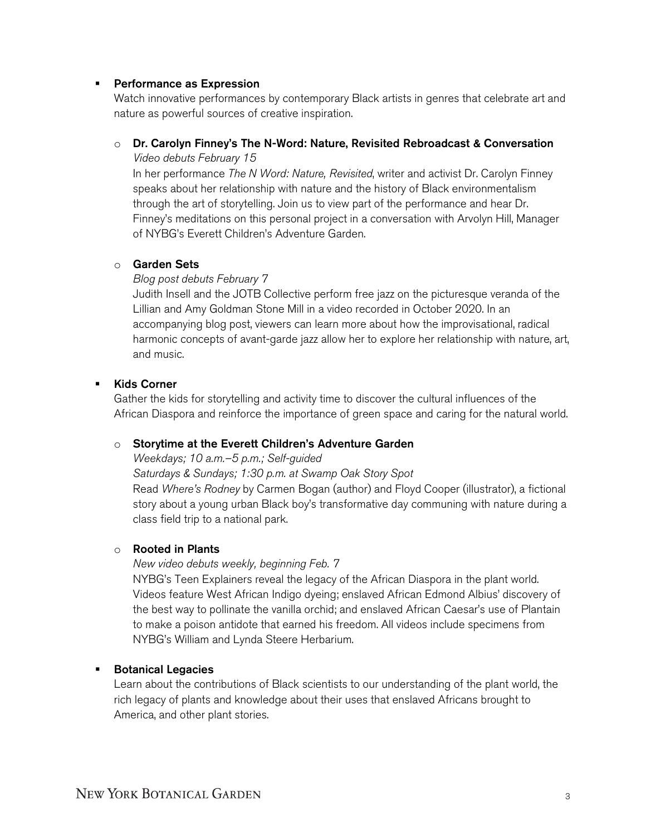#### **Performance as Expression**

Watch innovative performances by contemporary Black artists in genres that celebrate art and nature as powerful sources of creative inspiration.

#### $\circ$  Dr. Carolyn Finney's The N-Word: Nature, Revisited Rebroadcast & Conversation *Video debuts February 15*

In her performance *The N Word: Nature, Revisited*, writer and activist Dr. Carolyn Finney speaks about her relationship with nature and the history of Black environmentalism through the art of storytelling. Join us to view part of the performance and hear Dr. Finney's meditations on this personal project in a conversation with Arvolyn Hill, Manager of NYBG's Everett Children's Adventure Garden.

#### o Garden Sets

*Blog post debuts February 7*

Judith Insell and the JOTB Collective perform free jazz on the picturesque veranda of the Lillian and Amy Goldman Stone Mill in a video recorded in October 2020. In an accompanying blog post, viewers can learn more about how the improvisational, radical harmonic concepts of avant-garde jazz allow her to explore her relationship with nature, art, and music.

#### Kids Corner

Gather the kids for storytelling and activity time to discover the cultural influences of the African Diaspora and reinforce the importance of green space and caring for the natural world.

#### o Storytime at the Everett Children's Adventure Garden

*Weekdays; 10 a.m.–5 p.m.; Self-guided*

*Saturdays & Sundays; 1:30 p.m. at Swamp Oak Story Spot*

Read *Where's Rodney* by Carmen Bogan (author) and Floyd Cooper (illustrator), a fictional story about a young urban Black boy's transformative day communing with nature during a class field trip to a national park.

#### o Rooted in Plants

#### *New video debuts weekly, beginning Feb. 7*

NYBG's Teen Explainers reveal the legacy of the African Diaspora in the plant world. Videos feature West African Indigo dyeing; enslaved African Edmond Albius' discovery of the best way to pollinate the vanilla orchid; and enslaved African Caesar's use of Plantain to make a poison antidote that earned his freedom. All videos include specimens from NYBG's William and Lynda Steere Herbarium.

#### **Botanical Legacies**

Learn about the contributions of Black scientists to our understanding of the plant world, the rich legacy of plants and knowledge about their uses that enslaved Africans brought to America, and other plant stories.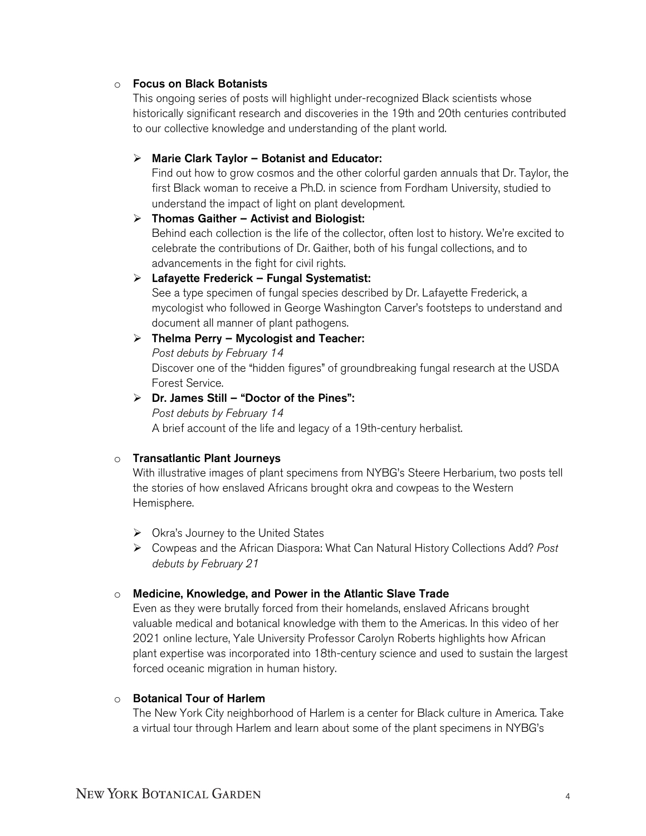## o Focus on Black Botanists

This ongoing series of posts will highlight under-recognized Black scientists whose historically significant research and discoveries in the 19th and 20th centuries contributed to our collective knowledge and understanding of the plant world.

## $\triangleright$  Marie Clark Taylor – Botanist and Educator:

Find out how to grow cosmos and the other colorful garden annuals that Dr. Taylor, the first Black woman to receive a Ph.D. in science from Fordham University, studied to understand the impact of light on plant development.

## $\triangleright$  Thomas Gaither – Activist and Biologist: Behind each collection is the life of the collector, often lost to history. We're excited to celebrate the contributions of Dr. Gaither, both of his fungal collections, and to

advancements in the fight for civil rights.

## $\triangleright$  Lafayette Frederick – Fungal Systematist:

See a type specimen of fungal species described by Dr. Lafayette Frederick, a mycologist who followed in George Washington Carver's footsteps to understand and document all manner of plant pathogens.

# $\triangleright$  Thelma Perry – Mycologist and Teacher: *Post debuts by February 14* Discover one of the "hidden figures" of groundbreaking fungal research at the USDA Forest Service.

## $\triangleright$  Dr. James Still – "Doctor of the Pines": *Post debuts by February 14* A brief account of the life and legacy of a 19th-century herbalist.

## o Transatlantic Plant Journeys

With illustrative images of plant specimens from NYBG's Steere Herbarium, two posts tell the stories of how enslaved Africans brought okra and cowpeas to the Western Hemisphere.

- $\triangleright$  Okra's Journey to the United States
- Cowpeas and the African Diaspora: What Can Natural History Collections Add? *Post debuts by February 21*

## o Medicine, Knowledge, and Power in the Atlantic Slave Trade

Even as they were brutally forced from their homelands, enslaved Africans brought valuable medical and botanical knowledge with them to the Americas. In this video of her 2021 online lecture, Yale University Professor Carolyn Roberts highlights how African plant expertise was incorporated into 18th-century science and used to sustain the largest forced oceanic migration in human history.

## o Botanical Tour of Harlem

The New York City neighborhood of Harlem is a center for Black culture in America. Take a virtual tour through Harlem and learn about some of the plant specimens in NYBG's